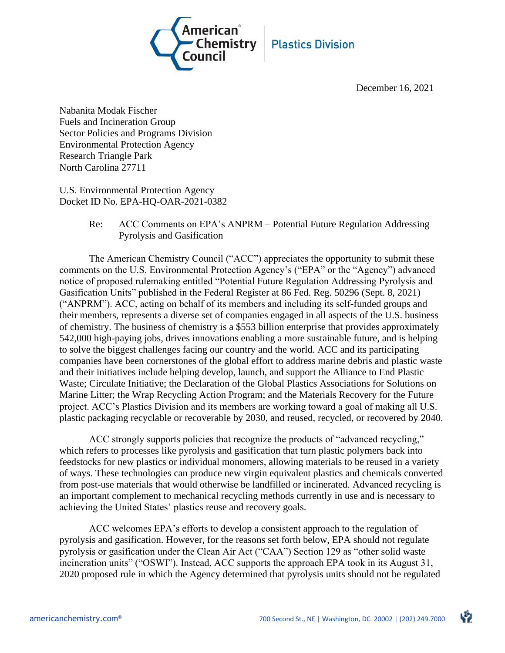

December 16, 2021

Nabanita Modak Fischer Fuels and Incineration Group Sector Policies and Programs Division Environmental Protection Agency Research Triangle Park North Carolina 27711

U.S. Environmental Protection Agency Docket ID No. EPA-HQ-OAR-2021-0382

> Re: ACC Comments on EPA's ANPRM – Potential Future Regulation Addressing Pyrolysis and Gasification

The American Chemistry Council ("ACC") appreciates the opportunity to submit these comments on the U.S. Environmental Protection Agency's ("EPA" or the "Agency") advanced notice of proposed rulemaking entitled "Potential Future Regulation Addressing Pyrolysis and Gasification Units" published in the Federal Register at 86 Fed. Reg. 50296 (Sept. 8, 2021) ("ANPRM"). ACC, acting on behalf of its members and including its self-funded groups and their members, represents a diverse set of companies engaged in all aspects of the U.S. business of chemistry. The business of chemistry is a \$553 billion enterprise that provides approximately 542,000 high-paying jobs, drives innovations enabling a more sustainable future, and is helping to solve the biggest challenges facing our country and the world. ACC and its participating companies have been cornerstones of the global effort to address marine debris and plastic waste and their initiatives include helping develop, launch, and support the Alliance to End Plastic Waste; Circulate Initiative; the Declaration of the Global Plastics Associations for Solutions on Marine Litter; the Wrap Recycling Action Program; and the Materials Recovery for the Future project. ACC's Plastics Division and its members are working toward a goal of making all U.S. plastic packaging recyclable or recoverable by 2030, and reused, recycled, or recovered by 2040.

ACC strongly supports policies that recognize the products of "advanced recycling," which refers to processes like pyrolysis and gasification that turn plastic polymers back into feedstocks for new plastics or individual monomers, allowing materials to be reused in a variety of ways. These technologies can produce new virgin equivalent plastics and chemicals converted from post-use materials that would otherwise be landfilled or incinerated. Advanced recycling is an important complement to mechanical recycling methods currently in use and is necessary to achieving the United States' plastics reuse and recovery goals.

ACC welcomes EPA's efforts to develop a consistent approach to the regulation of pyrolysis and gasification. However, for the reasons set forth below, EPA should not regulate pyrolysis or gasification under the Clean Air Act ("CAA") Section 129 as "other solid waste incineration units" ("OSWI"). Instead, ACC supports the approach EPA took in its August 31, 2020 proposed rule in which the Agency determined that pyrolysis units should not be regulated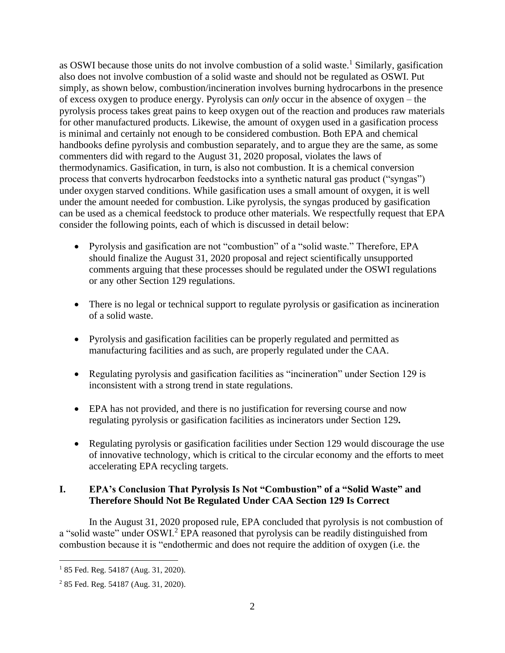as OSWI because those units do not involve combustion of a solid waste.<sup>1</sup> Similarly, gasification also does not involve combustion of a solid waste and should not be regulated as OSWI. Put simply, as shown below, combustion/incineration involves burning hydrocarbons in the presence of excess oxygen to produce energy. Pyrolysis can *only* occur in the absence of oxygen – the pyrolysis process takes great pains to keep oxygen out of the reaction and produces raw materials for other manufactured products. Likewise, the amount of oxygen used in a gasification process is minimal and certainly not enough to be considered combustion. Both EPA and chemical handbooks define pyrolysis and combustion separately, and to argue they are the same, as some commenters did with regard to the August 31, 2020 proposal, violates the laws of thermodynamics. Gasification, in turn, is also not combustion. It is a chemical conversion process that converts hydrocarbon feedstocks into a synthetic natural gas product ("syngas") under oxygen starved conditions. While gasification uses a small amount of oxygen, it is well under the amount needed for combustion. Like pyrolysis, the syngas produced by gasification can be used as a chemical feedstock to produce other materials. We respectfully request that EPA consider the following points, each of which is discussed in detail below:

- Pyrolysis and gasification are not "combustion" of a "solid waste." Therefore, EPA should finalize the August 31, 2020 proposal and reject scientifically unsupported comments arguing that these processes should be regulated under the OSWI regulations or any other Section 129 regulations.
- There is no legal or technical support to regulate pyrolysis or gasification as incineration of a solid waste.
- Pyrolysis and gasification facilities can be properly regulated and permitted as manufacturing facilities and as such, are properly regulated under the CAA.
- Regulating pyrolysis and gasification facilities as "incineration" under Section 129 is inconsistent with a strong trend in state regulations.
- EPA has not provided, and there is no justification for reversing course and now regulating pyrolysis or gasification facilities as incinerators under Section 129**.**
- Regulating pyrolysis or gasification facilities under Section 129 would discourage the use of innovative technology, which is critical to the circular economy and the efforts to meet accelerating EPA recycling targets.

# **I. EPA's Conclusion That Pyrolysis Is Not "Combustion" of a "Solid Waste" and Therefore Should Not Be Regulated Under CAA Section 129 Is Correct**

In the August 31, 2020 proposed rule, EPA concluded that pyrolysis is not combustion of a "solid waste" under OSWI.<sup>2</sup> EPA reasoned that pyrolysis can be readily distinguished from combustion because it is "endothermic and does not require the addition of oxygen (i.e. the

<sup>&</sup>lt;sup>1</sup> 85 Fed. Reg. 54187 (Aug. 31, 2020).

<sup>2</sup> 85 Fed. Reg. 54187 (Aug. 31, 2020).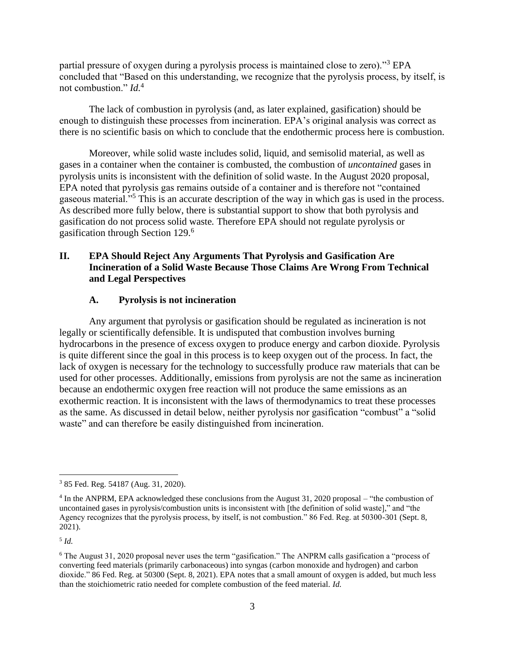partial pressure of oxygen during a pyrolysis process is maintained close to zero)."<sup>3</sup> EPA concluded that "Based on this understanding, we recognize that the pyrolysis process, by itself, is not combustion." *Id.*<sup>4</sup>

The lack of combustion in pyrolysis (and, as later explained, gasification) should be enough to distinguish these processes from incineration. EPA's original analysis was correct as there is no scientific basis on which to conclude that the endothermic process here is combustion.

Moreover, while solid waste includes solid, liquid, and semisolid material, as well as gases in a container when the container is combusted, the combustion of *uncontained* gases in pyrolysis units is inconsistent with the definition of solid waste. In the August 2020 proposal, EPA noted that pyrolysis gas remains outside of a container and is therefore not "contained gaseous material."<sup>5</sup> This is an accurate description of the way in which gas is used in the process. As described more fully below, there is substantial support to show that both pyrolysis and gasification do not process solid waste*.* Therefore EPA should not regulate pyrolysis or gasification through Section 129.<sup>6</sup>

# **II. EPA Should Reject Any Arguments That Pyrolysis and Gasification Are Incineration of a Solid Waste Because Those Claims Are Wrong From Technical and Legal Perspectives**

### **A. Pyrolysis is not incineration**

Any argument that pyrolysis or gasification should be regulated as incineration is not legally or scientifically defensible. It is undisputed that combustion involves burning hydrocarbons in the presence of excess oxygen to produce energy and carbon dioxide. Pyrolysis is quite different since the goal in this process is to keep oxygen out of the process. In fact, the lack of oxygen is necessary for the technology to successfully produce raw materials that can be used for other processes. Additionally, emissions from pyrolysis are not the same as incineration because an endothermic oxygen free reaction will not produce the same emissions as an exothermic reaction. It is inconsistent with the laws of thermodynamics to treat these processes as the same. As discussed in detail below, neither pyrolysis nor gasification "combust" a "solid waste" and can therefore be easily distinguished from incineration.

5 *Id.* 

<sup>3</sup> 85 Fed. Reg. 54187 (Aug. 31, 2020).

<sup>&</sup>lt;sup>4</sup> In the ANPRM, EPA acknowledged these conclusions from the August 31, 2020 proposal – "the combustion of uncontained gases in pyrolysis/combustion units is inconsistent with [the definition of solid waste]," and "the Agency recognizes that the pyrolysis process, by itself, is not combustion." 86 Fed. Reg. at 50300-301 (Sept. 8, 2021).

<sup>6</sup> The August 31, 2020 proposal never uses the term "gasification." The ANPRM calls gasification a "process of converting feed materials (primarily carbonaceous) into syngas (carbon monoxide and hydrogen) and carbon dioxide." 86 Fed. Reg. at 50300 (Sept. 8, 2021). EPA notes that a small amount of oxygen is added, but much less than the stoichiometric ratio needed for complete combustion of the feed material. *Id.*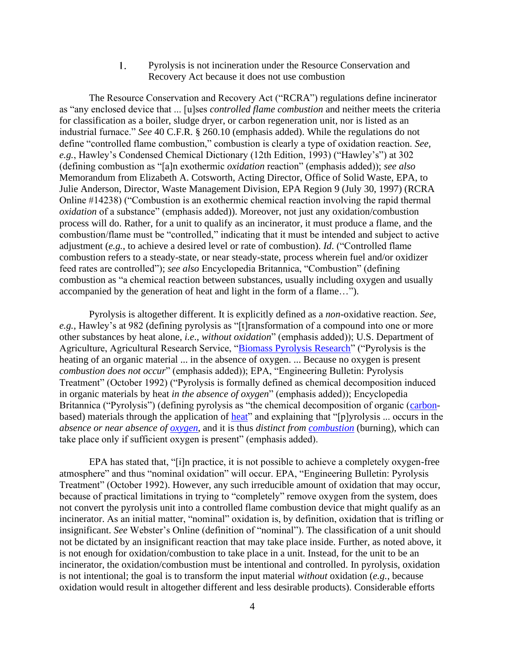1. Pyrolysis is not incineration under the Resource Conservation and Recovery Act because it does not use combustion

The Resource Conservation and Recovery Act ("RCRA") regulations define incinerator as "any enclosed device that ... [u]ses *controlled flame combustion* and neither meets the criteria for classification as a boiler, sludge dryer, or carbon regeneration unit, nor is listed as an industrial furnace." *See* 40 C.F.R. § 260.10 (emphasis added). While the regulations do not define "controlled flame combustion," combustion is clearly a type of oxidation reaction. *See, e.g.*, Hawley's Condensed Chemical Dictionary (12th Edition, 1993) ("Hawley's") at 302 (defining combustion as "[a]n exothermic *oxidation* reaction" (emphasis added)); *see also* Memorandum from Elizabeth A. Cotsworth, Acting Director, Office of Solid Waste, EPA, to Julie Anderson, Director, Waste Management Division, EPA Region 9 (July 30, 1997) (RCRA Online #14238) ("Combustion is an exothermic chemical reaction involving the rapid thermal *oxidation* of a substance" (emphasis added)). Moreover, not just any oxidation/combustion process will do. Rather, for a unit to qualify as an incinerator, it must produce a flame, and the combustion/flame must be "controlled," indicating that it must be intended and subject to active adjustment (*e.g.*, to achieve a desired level or rate of combustion). *Id*. ("Controlled flame combustion refers to a steady-state, or near steady-state, process wherein fuel and/or oxidizer feed rates are controlled"); *see also* Encyclopedia Britannica, "Combustion" (defining combustion as "a chemical reaction between substances, usually including oxygen and usually accompanied by the generation of heat and light in the form of a flame…").

Pyrolysis is altogether different. It is explicitly defined as a *non*-oxidative reaction. *See, e.g.*, Hawley's at 982 (defining pyrolysis as "[t]ransformation of a compound into one or more other substances by heat alone, *i.e*., *without oxidation*" (emphasis added)); U.S. Department of Agriculture, Agricultural Research Service, ["Biomass Pyrolysis Research"](https://www.ars.usda.gov/northeast-area/wyndmoor-pa/eastern-regional-research-center/docs/biomass-pyrolysis-research-1/what-is-pyrolysis/) ("Pyrolysis is the heating of an organic material ... in the absence of oxygen. ... Because no oxygen is present *combustion does not occur*" (emphasis added)); EPA, "Engineering Bulletin: Pyrolysis Treatment" (October 1992) ("Pyrolysis is formally defined as chemical decomposition induced in organic materials by heat *in the absence of oxygen*" (emphasis added)); Encyclopedia Britannica ("Pyrolysis") (defining pyrolysis as "the chemical decomposition of organic [\(carbon](https://www.britannica.com/science/carbon-chemical-element)based) materials through the application of <u>heat</u>" and explaining that "[p]yrolysis ... occurs in the *absence or near absence of [oxygen](https://www.britannica.com/science/oxygen)*, and it is thus *distinct from [combustion](https://www.britannica.com/science/combustion)* (burning), which can take place only if sufficient oxygen is present" (emphasis added).

EPA has stated that, "[i]n practice, it is not possible to achieve a completely oxygen-free atmosphere" and thus "nominal oxidation" will occur. EPA, "Engineering Bulletin: Pyrolysis Treatment" (October 1992). However, any such irreducible amount of oxidation that may occur, because of practical limitations in trying to "completely" remove oxygen from the system, does not convert the pyrolysis unit into a controlled flame combustion device that might qualify as an incinerator. As an initial matter, "nominal" oxidation is, by definition, oxidation that is trifling or insignificant. *See* Webster's Online (definition of "nominal"). The classification of a unit should not be dictated by an insignificant reaction that may take place inside. Further, as noted above, it is not enough for oxidation/combustion to take place in a unit. Instead, for the unit to be an incinerator, the oxidation/combustion must be intentional and controlled. In pyrolysis, oxidation is not intentional; the goal is to transform the input material *without* oxidation (*e.g.*, because oxidation would result in altogether different and less desirable products). Considerable efforts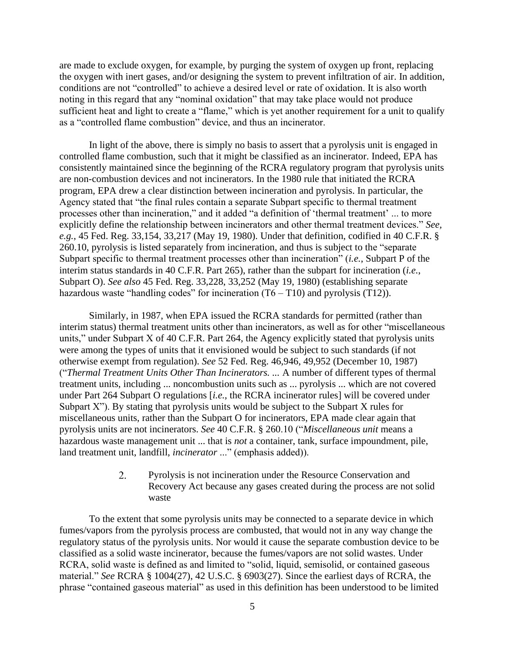are made to exclude oxygen, for example, by purging the system of oxygen up front, replacing the oxygen with inert gases, and/or designing the system to prevent infiltration of air. In addition, conditions are not "controlled" to achieve a desired level or rate of oxidation. It is also worth noting in this regard that any "nominal oxidation" that may take place would not produce sufficient heat and light to create a "flame," which is yet another requirement for a unit to qualify as a "controlled flame combustion" device, and thus an incinerator.

In light of the above, there is simply no basis to assert that a pyrolysis unit is engaged in controlled flame combustion, such that it might be classified as an incinerator. Indeed, EPA has consistently maintained since the beginning of the RCRA regulatory program that pyrolysis units are non-combustion devices and not incinerators. In the 1980 rule that initiated the RCRA program, EPA drew a clear distinction between incineration and pyrolysis. In particular, the Agency stated that "the final rules contain a separate Subpart specific to thermal treatment processes other than incineration," and it added "a definition of 'thermal treatment' ... to more explicitly define the relationship between incinerators and other thermal treatment devices." *See, e.g.*, 45 Fed. Reg. 33,154, 33,217 (May 19, 1980). Under that definition, codified in 40 C.F.R. § 260.10, pyrolysis is listed separately from incineration, and thus is subject to the "separate Subpart specific to thermal treatment processes other than incineration" (*i.e.*, Subpart P of the interim status standards in 40 C.F.R. Part 265), rather than the subpart for incineration (*i.e.*, Subpart O). *See also* 45 Fed. Reg. 33,228, 33,252 (May 19, 1980) (establishing separate hazardous waste "handling codes" for incineration  $(T6 - T10)$  and pyrolysis  $(T12)$ ).

Similarly, in 1987, when EPA issued the RCRA standards for permitted (rather than interim status) thermal treatment units other than incinerators, as well as for other "miscellaneous units," under Subpart X of 40 C.F.R. Part 264, the Agency explicitly stated that pyrolysis units were among the types of units that it envisioned would be subject to such standards (if not otherwise exempt from regulation). *See* 52 Fed. Reg. 46,946, 49,952 (December 10, 1987) ("*Thermal Treatment Units Other Than Incinerators. ...* A number of different types of thermal treatment units, including ... noncombustion units such as ... pyrolysis ... which are not covered under Part 264 Subpart O regulations [*i.e.*, the RCRA incinerator rules] will be covered under Subpart  $X$ "). By stating that pyrolysis units would be subject to the Subpart  $X$  rules for miscellaneous units, rather than the Subpart O for incinerators, EPA made clear again that pyrolysis units are not incinerators. *See* 40 C.F.R. § 260.10 ("*Miscellaneous unit* means a hazardous waste management unit ... that is *not* a container, tank, surface impoundment, pile, land treatment unit, landfill, *incinerator* ..." (emphasis added)).

> $2.$ Pyrolysis is not incineration under the Resource Conservation and Recovery Act because any gases created during the process are not solid waste

To the extent that some pyrolysis units may be connected to a separate device in which fumes/vapors from the pyrolysis process are combusted, that would not in any way change the regulatory status of the pyrolysis units. Nor would it cause the separate combustion device to be classified as a solid waste incinerator, because the fumes/vapors are not solid wastes. Under RCRA, solid waste is defined as and limited to "solid, liquid, semisolid, or contained gaseous material." *See* RCRA § 1004(27), 42 U.S.C. § 6903(27). Since the earliest days of RCRA, the phrase "contained gaseous material" as used in this definition has been understood to be limited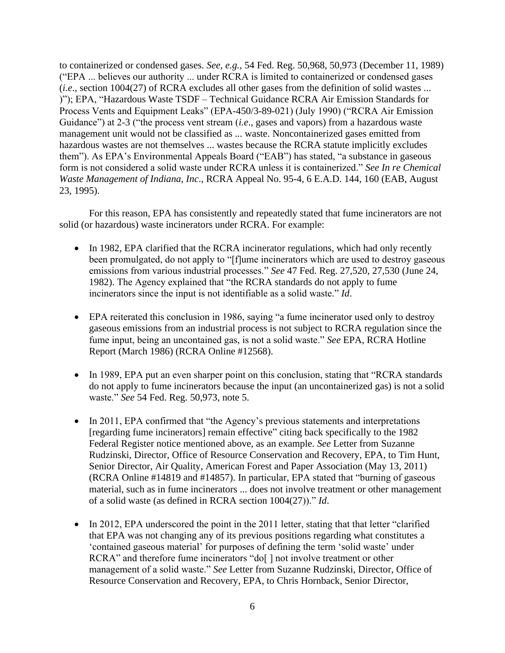to containerized or condensed gases. *See, e.g.*, 54 Fed. Reg. 50,968, 50,973 (December 11, 1989) ("EPA ... believes our authority ... under RCRA is limited to containerized or condensed gases (*i.e*., section 1004(27) of RCRA excludes all other gases from the definition of solid wastes ... )"); EPA, "Hazardous Waste TSDF – Technical Guidance RCRA Air Emission Standards for Process Vents and Equipment Leaks" (EPA-450/3-89-021) (July 1990) ("RCRA Air Emission Guidance") at 2-3 ("the process vent stream (*i.e*., gases and vapors) from a hazardous waste management unit would not be classified as ... waste. Noncontainerized gases emitted from hazardous wastes are not themselves ... wastes because the RCRA statute implicitly excludes them"). As EPA's Environmental Appeals Board ("EAB") has stated, "a substance in gaseous form is not considered a solid waste under RCRA unless it is containerized." *See In re Chemical Waste Management of Indiana, Inc*., RCRA Appeal No. 95-4, 6 E.A.D. 144, 160 (EAB, August 23, 1995).

For this reason, EPA has consistently and repeatedly stated that fume incinerators are not solid (or hazardous) waste incinerators under RCRA. For example:

- In 1982, EPA clarified that the RCRA incinerator regulations, which had only recently been promulgated, do not apply to "[f]ume incinerators which are used to destroy gaseous emissions from various industrial processes." *See* 47 Fed. Reg. 27,520, 27,530 (June 24, 1982). The Agency explained that "the RCRA standards do not apply to fume incinerators since the input is not identifiable as a solid waste." *Id*.
- EPA reiterated this conclusion in 1986, saying "a fume incinerator used only to destroy gaseous emissions from an industrial process is not subject to RCRA regulation since the fume input, being an uncontained gas, is not a solid waste." *See* EPA, RCRA Hotline Report (March 1986) (RCRA Online #12568).
- In 1989, EPA put an even sharper point on this conclusion, stating that "RCRA standards" do not apply to fume incinerators because the input (an uncontainerized gas) is not a solid waste." *See* 54 Fed. Reg. 50,973, note 5.
- In 2011, EPA confirmed that "the Agency's previous statements and interpretations [regarding fume incinerators] remain effective" citing back specifically to the 1982 Federal Register notice mentioned above, as an example. *See* Letter from Suzanne Rudzinski, Director, Office of Resource Conservation and Recovery, EPA, to Tim Hunt, Senior Director, Air Quality, American Forest and Paper Association (May 13, 2011) (RCRA Online #14819 and #14857). In particular, EPA stated that "burning of gaseous material, such as in fume incinerators ... does not involve treatment or other management of a solid waste (as defined in RCRA section 1004(27))." *Id*.
- In 2012, EPA underscored the point in the 2011 letter, stating that that letter "clarified" that EPA was not changing any of its previous positions regarding what constitutes a 'contained gaseous material' for purposes of defining the term 'solid waste' under RCRA" and therefore fume incinerators "do[] not involve treatment or other management of a solid waste." *See* Letter from Suzanne Rudzinski, Director, Office of Resource Conservation and Recovery, EPA, to Chris Hornback, Senior Director,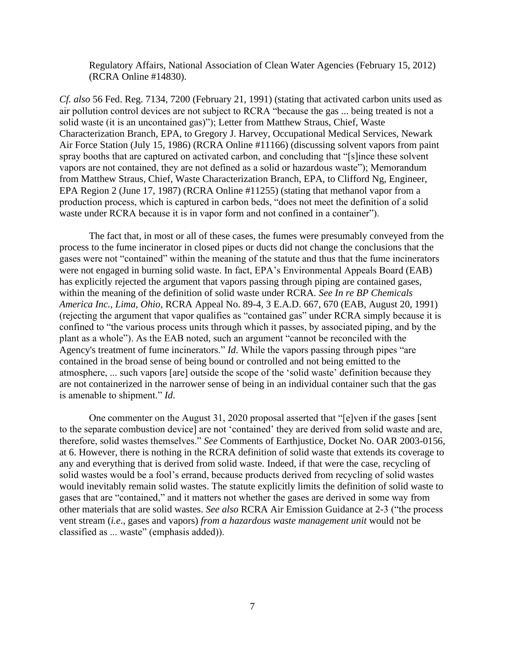Regulatory Affairs, National Association of Clean Water Agencies (February 15, 2012) (RCRA Online #14830).

*Cf. also* 56 Fed. Reg. 7134, 7200 (February 21, 1991) (stating that activated carbon units used as air pollution control devices are not subject to RCRA "because the gas ... being treated is not a solid waste (it is an uncontained gas)"); Letter from Matthew Straus, Chief, Waste Characterization Branch, EPA, to Gregory J. Harvey, Occupational Medical Services, Newark Air Force Station (July 15, 1986) (RCRA Online #11166) (discussing solvent vapors from paint spray booths that are captured on activated carbon, and concluding that "[s]ince these solvent vapors are not contained, they are not defined as a solid or hazardous waste"); Memorandum from Matthew Straus, Chief, Waste Characterization Branch, EPA, to Clifford Ng, Engineer, EPA Region 2 (June 17, 1987) (RCRA Online #11255) (stating that methanol vapor from a production process, which is captured in carbon beds, "does not meet the definition of a solid waste under RCRA because it is in vapor form and not confined in a container").

The fact that, in most or all of these cases, the fumes were presumably conveyed from the process to the fume incinerator in closed pipes or ducts did not change the conclusions that the gases were not "contained" within the meaning of the statute and thus that the fume incinerators were not engaged in burning solid waste. In fact, EPA's Environmental Appeals Board (EAB) has explicitly rejected the argument that vapors passing through piping are contained gases, within the meaning of the definition of solid waste under RCRA. *See In re BP Chemicals America Inc., Lima, Ohio*, RCRA Appeal No. 89-4, 3 E.A.D. 667, 670 (EAB, August 20, 1991) (rejecting the argument that vapor qualifies as "contained gas" under RCRA simply because it is confined to "the various process units through which it passes, by associated piping, and by the plant as a whole"). As the EAB noted, such an argument "cannot be reconciled with the Agency's treatment of fume incinerators." *Id*. While the vapors passing through pipes "are contained in the broad sense of being bound or controlled and not being emitted to the atmosphere, ... such vapors [are] outside the scope of the 'solid waste' definition because they are not containerized in the narrower sense of being in an individual container such that the gas is amenable to shipment." *Id*.

One commenter on the August 31, 2020 proposal asserted that "[e]ven if the gases [sent to the separate combustion device] are not 'contained' they are derived from solid waste and are, therefore, solid wastes themselves." *See* Comments of Earthjustice, Docket No. OAR 2003-0156, at 6. However, there is nothing in the RCRA definition of solid waste that extends its coverage to any and everything that is derived from solid waste. Indeed, if that were the case, recycling of solid wastes would be a fool's errand, because products derived from recycling of solid wastes would inevitably remain solid wastes. The statute explicitly limits the definition of solid waste to gases that are "contained," and it matters not whether the gases are derived in some way from other materials that are solid wastes. *See also* RCRA Air Emission Guidance at 2-3 ("the process vent stream (*i.e*., gases and vapors) *from a hazardous waste management unit* would not be classified as ... waste" (emphasis added)).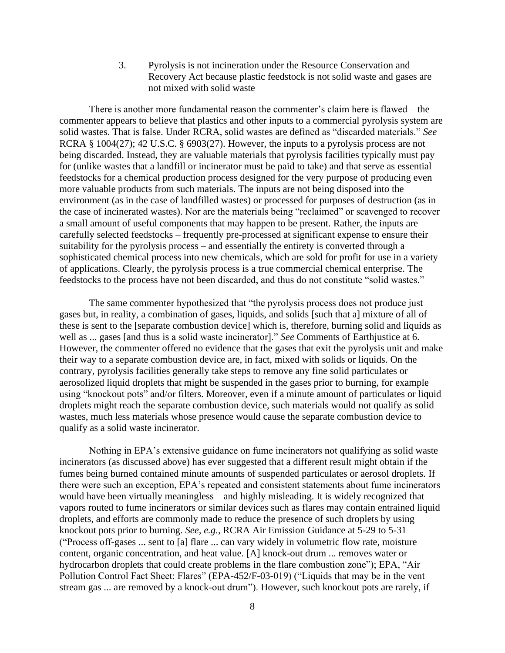3. Pyrolysis is not incineration under the Resource Conservation and Recovery Act because plastic feedstock is not solid waste and gases are not mixed with solid waste

There is another more fundamental reason the commenter's claim here is flawed – the commenter appears to believe that plastics and other inputs to a commercial pyrolysis system are solid wastes. That is false. Under RCRA, solid wastes are defined as "discarded materials." *See*  RCRA § 1004(27); 42 U.S.C. § 6903(27). However, the inputs to a pyrolysis process are not being discarded. Instead, they are valuable materials that pyrolysis facilities typically must pay for (unlike wastes that a landfill or incinerator must be paid to take) and that serve as essential feedstocks for a chemical production process designed for the very purpose of producing even more valuable products from such materials. The inputs are not being disposed into the environment (as in the case of landfilled wastes) or processed for purposes of destruction (as in the case of incinerated wastes). Nor are the materials being "reclaimed" or scavenged to recover a small amount of useful components that may happen to be present. Rather, the inputs are carefully selected feedstocks – frequently pre-processed at significant expense to ensure their suitability for the pyrolysis process – and essentially the entirety is converted through a sophisticated chemical process into new chemicals, which are sold for profit for use in a variety of applications. Clearly, the pyrolysis process is a true commercial chemical enterprise. The feedstocks to the process have not been discarded, and thus do not constitute "solid wastes."

The same commenter hypothesized that "the pyrolysis process does not produce just gases but, in reality, a combination of gases, liquids, and solids [such that a] mixture of all of these is sent to the [separate combustion device] which is, therefore, burning solid and liquids as well as ... gases [and thus is a solid waste incinerator]." *See* Comments of Earthjustice at 6. However, the commenter offered no evidence that the gases that exit the pyrolysis unit and make their way to a separate combustion device are, in fact, mixed with solids or liquids. On the contrary, pyrolysis facilities generally take steps to remove any fine solid particulates or aerosolized liquid droplets that might be suspended in the gases prior to burning, for example using "knockout pots" and/or filters. Moreover, even if a minute amount of particulates or liquid droplets might reach the separate combustion device, such materials would not qualify as solid wastes, much less materials whose presence would cause the separate combustion device to qualify as a solid waste incinerator.

Nothing in EPA's extensive guidance on fume incinerators not qualifying as solid waste incinerators (as discussed above) has ever suggested that a different result might obtain if the fumes being burned contained minute amounts of suspended particulates or aerosol droplets. If there were such an exception, EPA's repeated and consistent statements about fume incinerators would have been virtually meaningless – and highly misleading. It is widely recognized that vapors routed to fume incinerators or similar devices such as flares may contain entrained liquid droplets, and efforts are commonly made to reduce the presence of such droplets by using knockout pots prior to burning. *See, e.g.*, RCRA Air Emission Guidance at 5-29 to 5-31 ("Process off-gases ... sent to [a] flare ... can vary widely in volumetric flow rate, moisture content, organic concentration, and heat value. [A] knock-out drum ... removes water or hydrocarbon droplets that could create problems in the flare combustion zone"); EPA, "Air Pollution Control Fact Sheet: Flares" (EPA-452/F-03-019) ("Liquids that may be in the vent stream gas ... are removed by a knock-out drum"). However, such knockout pots are rarely, if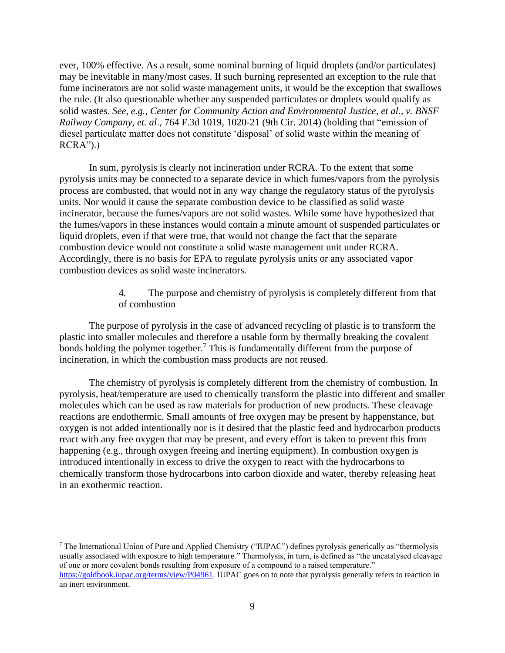ever, 100% effective. As a result, some nominal burning of liquid droplets (and/or particulates) may be inevitable in many/most cases. If such burning represented an exception to the rule that fume incinerators are not solid waste management units, it would be the exception that swallows the rule. (It also questionable whether any suspended particulates or droplets would qualify as solid wastes. *See, e.g.*, *Center for Community Action and Environmental Justice, et al., v. BNSF Railway Company, et. al*., 764 F.3d 1019, 1020-21 (9th Cir. 2014) (holding that "emission of diesel particulate matter does not constitute 'disposal' of solid waste within the meaning of  $RCRA$ ").)

In sum, pyrolysis is clearly not incineration under RCRA. To the extent that some pyrolysis units may be connected to a separate device in which fumes/vapors from the pyrolysis process are combusted, that would not in any way change the regulatory status of the pyrolysis units. Nor would it cause the separate combustion device to be classified as solid waste incinerator, because the fumes/vapors are not solid wastes. While some have hypothesized that the fumes/vapors in these instances would contain a minute amount of suspended particulates or liquid droplets, even if that were true, that would not change the fact that the separate combustion device would not constitute a solid waste management unit under RCRA. Accordingly, there is no basis for EPA to regulate pyrolysis units or any associated vapor combustion devices as solid waste incinerators.

> 4. The purpose and chemistry of pyrolysis is completely different from that of combustion

The purpose of pyrolysis in the case of advanced recycling of plastic is to transform the plastic into smaller molecules and therefore a usable form by thermally breaking the covalent bonds holding the polymer together.<sup>7</sup> This is fundamentally different from the purpose of incineration, in which the combustion mass products are not reused.

The chemistry of pyrolysis is completely different from the chemistry of combustion. In pyrolysis, heat/temperature are used to chemically transform the plastic into different and smaller molecules which can be used as raw materials for production of new products. These cleavage reactions are endothermic. Small amounts of free oxygen may be present by happenstance, but oxygen is not added intentionally nor is it desired that the plastic feed and hydrocarbon products react with any free oxygen that may be present, and every effort is taken to prevent this from happening (e.g., through oxygen freeing and inerting equipment). In combustion oxygen is introduced intentionally in excess to drive the oxygen to react with the hydrocarbons to chemically transform those hydrocarbons into carbon dioxide and water, thereby releasing heat in an exothermic reaction.

<sup>7</sup> The International Union of Pure and Applied Chemistry ("IUPAC") defines pyrolysis generically as "thermolysis usually associated with exposure to high temperature." Thermolysis, in turn, is defined as "the uncatalysed cleavage of one or more covalent bonds resulting from exposure of a compound to a raised temperature." [https://goldbook.iupac.org/terms/view/P04961.](https://goldbook.iupac.org/terms/view/P04961) IUPAC goes on to note that pyrolysis generally refers to reaction in an inert environment.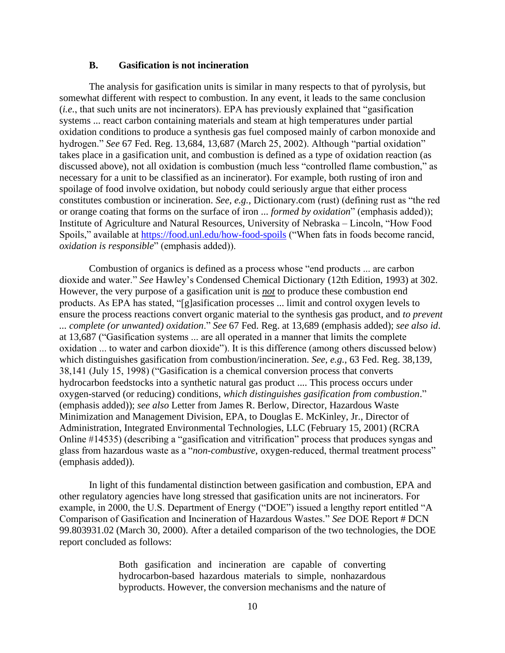#### **B. Gasification is not incineration**

The analysis for gasification units is similar in many respects to that of pyrolysis, but somewhat different with respect to combustion. In any event, it leads to the same conclusion (*i.e.*, that such units are not incinerators). EPA has previously explained that "gasification systems ... react carbon containing materials and steam at high temperatures under partial oxidation conditions to produce a synthesis gas fuel composed mainly of carbon monoxide and hydrogen." *See* 67 Fed. Reg. 13,684, 13,687 (March 25, 2002). Although "partial oxidation" takes place in a gasification unit, and combustion is defined as a type of oxidation reaction (as discussed above), not all oxidation is combustion (much less "controlled flame combustion," as necessary for a unit to be classified as an incinerator). For example, both rusting of iron and spoilage of food involve oxidation, but nobody could seriously argue that either process constitutes combustion or incineration. *See, e.g.*, Dictionary.com (rust) (defining rust as "the red or orange coating that forms on the surface of iron ... *formed by oxidation*" (emphasis added)); Institute of Agriculture and Natural Resources, University of Nebraska – Lincoln, "How Food Spoils," available at<https://food.unl.edu/how-food-spoils> ("When fats in foods become rancid, *oxidation is responsible*" (emphasis added)).

Combustion of organics is defined as a process whose "end products ... are carbon dioxide and water." *See* Hawley's Condensed Chemical Dictionary (12th Edition, 1993) at 302. However, the very purpose of a gasification unit is *not* to produce these combustion end products. As EPA has stated, "[g]asification processes ... limit and control oxygen levels to ensure the process reactions convert organic material to the synthesis gas product, and *to prevent ... complete (or unwanted) oxidation*." *See* 67 Fed. Reg. at 13,689 (emphasis added); *see also id*. at 13,687 ("Gasification systems ... are all operated in a manner that limits the complete oxidation ... to water and carbon dioxide"). It is this difference (among others discussed below) which distinguishes gasification from combustion/incineration. *See, e.g.*, 63 Fed. Reg. 38,139, 38,141 (July 15, 1998) ("Gasification is a chemical conversion process that converts hydrocarbon feedstocks into a synthetic natural gas product .... This process occurs under oxygen-starved (or reducing) conditions, *which distinguishes gasification from combustion*." (emphasis added)); *see also* Letter from James R. Berlow, Director, Hazardous Waste Minimization and Management Division, EPA, to Douglas E. McKinley, Jr., Director of Administration, Integrated Environmental Technologies, LLC (February 15, 2001) (RCRA Online #14535) (describing a "gasification and vitrification" process that produces syngas and glass from hazardous waste as a "*non-combustive*, oxygen-reduced, thermal treatment process" (emphasis added)).

In light of this fundamental distinction between gasification and combustion, EPA and other regulatory agencies have long stressed that gasification units are not incinerators. For example, in 2000, the U.S. Department of Energy ("DOE") issued a lengthy report entitled "A Comparison of Gasification and Incineration of Hazardous Wastes." *See* DOE Report # DCN 99.803931.02 (March 30, 2000). After a detailed comparison of the two technologies, the DOE report concluded as follows:

> Both gasification and incineration are capable of converting hydrocarbon-based hazardous materials to simple, nonhazardous byproducts. However, the conversion mechanisms and the nature of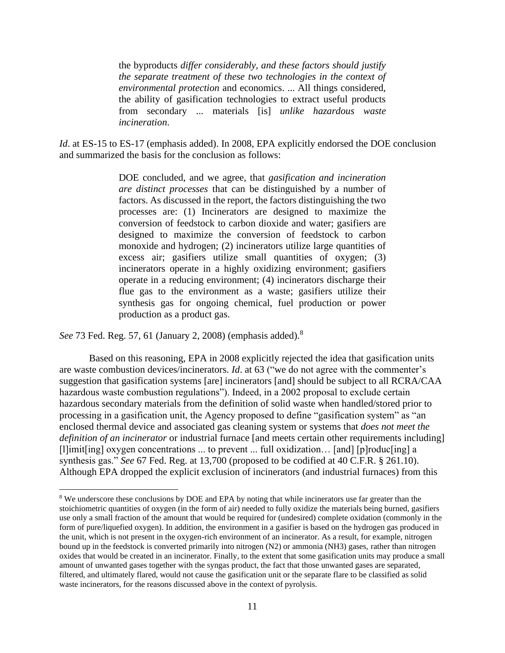the byproducts *differ considerably, and these factors should justify the separate treatment of these two technologies in the context of environmental protection* and economics. ... All things considered, the ability of gasification technologies to extract useful products from secondary ... materials [is] *unlike hazardous waste incineration*.

*Id.* at ES-15 to ES-17 (emphasis added). In 2008, EPA explicitly endorsed the DOE conclusion and summarized the basis for the conclusion as follows:

> DOE concluded, and we agree, that *gasification and incineration are distinct processes* that can be distinguished by a number of factors. As discussed in the report, the factors distinguishing the two processes are: (1) Incinerators are designed to maximize the conversion of feedstock to carbon dioxide and water; gasifiers are designed to maximize the conversion of feedstock to carbon monoxide and hydrogen; (2) incinerators utilize large quantities of excess air; gasifiers utilize small quantities of oxygen; (3) incinerators operate in a highly oxidizing environment; gasifiers operate in a reducing environment; (4) incinerators discharge their flue gas to the environment as a waste; gasifiers utilize their synthesis gas for ongoing chemical, fuel production or power production as a product gas.

*See* 73 Fed. Reg. 57, 61 (January 2, 2008) (emphasis added).<sup>8</sup>

Based on this reasoning, EPA in 2008 explicitly rejected the idea that gasification units are waste combustion devices/incinerators. *Id*. at 63 ("we do not agree with the commenter's suggestion that gasification systems [are] incinerators [and] should be subject to all RCRA/CAA hazardous waste combustion regulations"). Indeed, in a 2002 proposal to exclude certain hazardous secondary materials from the definition of solid waste when handled/stored prior to processing in a gasification unit, the Agency proposed to define "gasification system" as "an enclosed thermal device and associated gas cleaning system or systems that *does not meet the definition of an incinerator* or industrial furnace [and meets certain other requirements including] [l]imit[ing] oxygen concentrations ... to prevent ... full oxidization… [and] [p]roduc[ing] a synthesis gas." *See* 67 Fed. Reg. at 13,700 (proposed to be codified at 40 C.F.R. § 261.10). Although EPA dropped the explicit exclusion of incinerators (and industrial furnaces) from this

<sup>&</sup>lt;sup>8</sup> We underscore these conclusions by DOE and EPA by noting that while incinerators use far greater than the stoichiometric quantities of oxygen (in the form of air) needed to fully oxidize the materials being burned, gasifiers use only a small fraction of the amount that would be required for (undesired) complete oxidation (commonly in the form of pure/liquefied oxygen). In addition, the environment in a gasifier is based on the hydrogen gas produced in the unit, which is not present in the oxygen-rich environment of an incinerator. As a result, for example, nitrogen bound up in the feedstock is converted primarily into nitrogen (N2) or ammonia (NH3) gases, rather than nitrogen oxides that would be created in an incinerator. Finally, to the extent that some gasification units may produce a small amount of unwanted gases together with the syngas product, the fact that those unwanted gases are separated, filtered, and ultimately flared, would not cause the gasification unit or the separate flare to be classified as solid waste incinerators, for the reasons discussed above in the context of pyrolysis.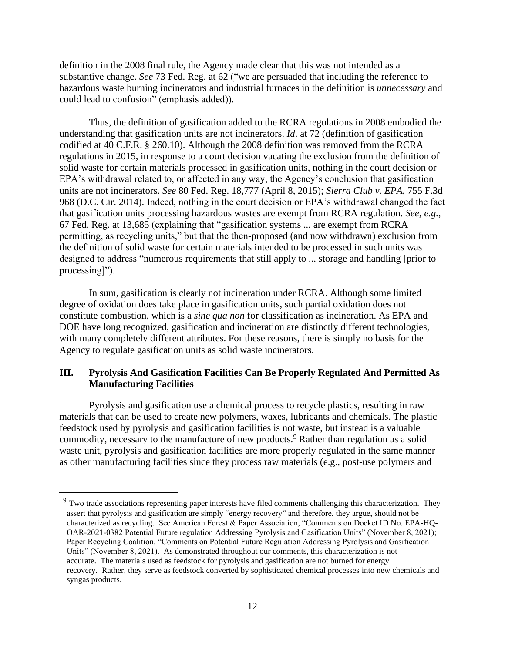definition in the 2008 final rule, the Agency made clear that this was not intended as a substantive change. *See* 73 Fed. Reg. at 62 ("we are persuaded that including the reference to hazardous waste burning incinerators and industrial furnaces in the definition is *unnecessary* and could lead to confusion" (emphasis added)).

Thus, the definition of gasification added to the RCRA regulations in 2008 embodied the understanding that gasification units are not incinerators. *Id*. at 72 (definition of gasification codified at 40 C.F.R. § 260.10). Although the 2008 definition was removed from the RCRA regulations in 2015, in response to a court decision vacating the exclusion from the definition of solid waste for certain materials processed in gasification units, nothing in the court decision or EPA's withdrawal related to, or affected in any way, the Agency's conclusion that gasification units are not incinerators. *See* 80 Fed. Reg. 18,777 (April 8, 2015); *Sierra Club v. EPA*, 755 F.3d 968 (D.C. Cir. 2014). Indeed, nothing in the court decision or EPA's withdrawal changed the fact that gasification units processing hazardous wastes are exempt from RCRA regulation. *See, e.g.*, 67 Fed. Reg. at 13,685 (explaining that "gasification systems ... are exempt from RCRA permitting, as recycling units," but that the then-proposed (and now withdrawn) exclusion from the definition of solid waste for certain materials intended to be processed in such units was designed to address "numerous requirements that still apply to ... storage and handling [prior to processing]").

In sum, gasification is clearly not incineration under RCRA. Although some limited degree of oxidation does take place in gasification units, such partial oxidation does not constitute combustion, which is a *sine qua non* for classification as incineration. As EPA and DOE have long recognized, gasification and incineration are distinctly different technologies, with many completely different attributes. For these reasons, there is simply no basis for the Agency to regulate gasification units as solid waste incinerators.

#### **III. Pyrolysis And Gasification Facilities Can Be Properly Regulated And Permitted As Manufacturing Facilities**

Pyrolysis and gasification use a chemical process to recycle plastics, resulting in raw materials that can be used to create new polymers, waxes, lubricants and chemicals. The plastic feedstock used by pyrolysis and gasification facilities is not waste, but instead is a valuable commodity, necessary to the manufacture of new products.<sup>9</sup> Rather than regulation as a solid waste unit, pyrolysis and gasification facilities are more properly regulated in the same manner as other manufacturing facilities since they process raw materials (e.g., post-use polymers and

<sup>&</sup>lt;sup>9</sup> Two trade associations representing paper interests have filed comments challenging this characterization. They assert that pyrolysis and gasification are simply "energy recovery" and therefore, they argue, should not be characterized as recycling. See American Forest & Paper Association, "Comments on Docket ID No. EPA-HQ-OAR-2021-0382 Potential Future regulation Addressing Pyrolysis and Gasification Units" (November 8, 2021); Paper Recycling Coalition, "Comments on Potential Future Regulation Addressing Pyrolysis and Gasification Units" (November 8, 2021). As demonstrated throughout our comments, this characterization is not accurate. The materials used as feedstock for pyrolysis and gasification are not burned for energy recovery. Rather, they serve as feedstock converted by sophisticated chemical processes into new chemicals and syngas products.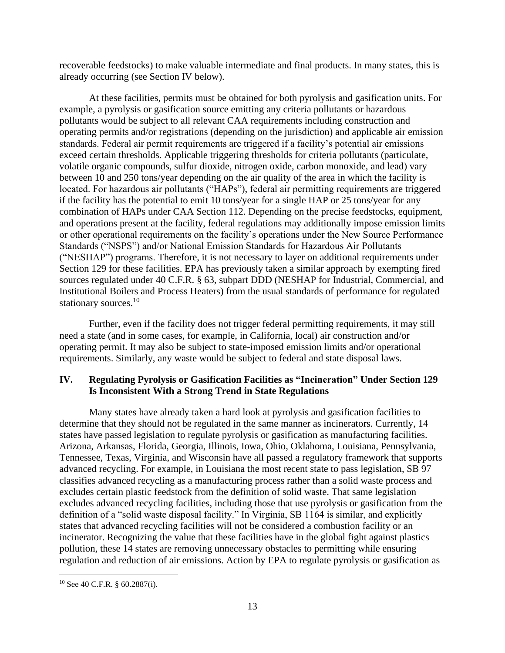recoverable feedstocks) to make valuable intermediate and final products. In many states, this is already occurring (see Section IV below).

At these facilities, permits must be obtained for both pyrolysis and gasification units. For example, a pyrolysis or gasification source emitting any criteria pollutants or hazardous pollutants would be subject to all relevant CAA requirements including construction and operating permits and/or registrations (depending on the jurisdiction) and applicable air emission standards. Federal air permit requirements are triggered if a facility's potential air emissions exceed certain thresholds. Applicable triggering thresholds for criteria pollutants (particulate, volatile organic compounds, sulfur dioxide, nitrogen oxide, carbon monoxide, and lead) vary between 10 and 250 tons/year depending on the air quality of the area in which the facility is located. For hazardous air pollutants ("HAPs"), federal air permitting requirements are triggered if the facility has the potential to emit 10 tons/year for a single HAP or 25 tons/year for any combination of HAPs under CAA Section 112. Depending on the precise feedstocks, equipment, and operations present at the facility, federal regulations may additionally impose emission limits or other operational requirements on the facility's operations under the New Source Performance Standards ("NSPS") and/or National Emission Standards for Hazardous Air Pollutants ("NESHAP") programs. Therefore, it is not necessary to layer on additional requirements under Section 129 for these facilities. EPA has previously taken a similar approach by exempting fired sources regulated under 40 C.F.R. § 63, subpart DDD (NESHAP for Industrial, Commercial, and Institutional Boilers and Process Heaters) from the usual standards of performance for regulated stationary sources.<sup>10</sup>

Further, even if the facility does not trigger federal permitting requirements, it may still need a state (and in some cases, for example, in California, local) air construction and/or operating permit. It may also be subject to state-imposed emission limits and/or operational requirements. Similarly, any waste would be subject to federal and state disposal laws.

### **IV. Regulating Pyrolysis or Gasification Facilities as "Incineration" Under Section 129 Is Inconsistent With a Strong Trend in State Regulations**

Many states have already taken a hard look at pyrolysis and gasification facilities to determine that they should not be regulated in the same manner as incinerators. Currently, 14 states have passed legislation to regulate pyrolysis or gasification as manufacturing facilities. Arizona, Arkansas, Florida, Georgia, Illinois, Iowa, Ohio, Oklahoma, Louisiana, Pennsylvania, Tennessee, Texas, Virginia, and Wisconsin have all passed a regulatory framework that supports advanced recycling. For example, in Louisiana the most recent state to pass legislation, SB 97 classifies advanced recycling as a manufacturing process rather than a solid waste process and excludes certain plastic feedstock from the definition of solid waste. That same legislation excludes advanced recycling facilities, including those that use pyrolysis or gasification from the definition of a "solid waste disposal facility." In Virginia, SB 1164 is similar, and explicitly states that advanced recycling facilities will not be considered a combustion facility or an incinerator. Recognizing the value that these facilities have in the global fight against plastics pollution, these 14 states are removing unnecessary obstacles to permitting while ensuring regulation and reduction of air emissions. Action by EPA to regulate pyrolysis or gasification as

 $10$  See 40 C.F.R. § 60.2887(i).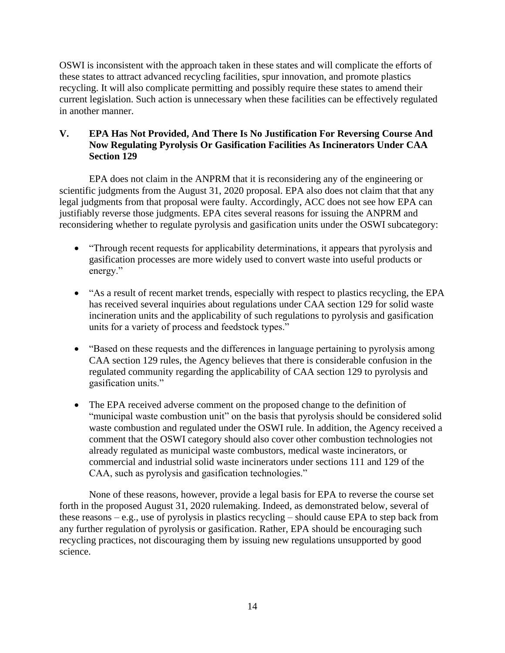OSWI is inconsistent with the approach taken in these states and will complicate the efforts of these states to attract advanced recycling facilities, spur innovation, and promote plastics recycling. It will also complicate permitting and possibly require these states to amend their current legislation. Such action is unnecessary when these facilities can be effectively regulated in another manner.

# **V. EPA Has Not Provided, And There Is No Justification For Reversing Course And Now Regulating Pyrolysis Or Gasification Facilities As Incinerators Under CAA Section 129**

EPA does not claim in the ANPRM that it is reconsidering any of the engineering or scientific judgments from the August 31, 2020 proposal. EPA also does not claim that that any legal judgments from that proposal were faulty. Accordingly, ACC does not see how EPA can justifiably reverse those judgments. EPA cites several reasons for issuing the ANPRM and reconsidering whether to regulate pyrolysis and gasification units under the OSWI subcategory:

- "Through recent requests for applicability determinations, it appears that pyrolysis and gasification processes are more widely used to convert waste into useful products or energy."
- "As a result of recent market trends, especially with respect to plastics recycling, the EPA has received several inquiries about regulations under CAA section 129 for solid waste incineration units and the applicability of such regulations to pyrolysis and gasification units for a variety of process and feedstock types."
- "Based on these requests and the differences in language pertaining to pyrolysis among CAA section 129 rules, the Agency believes that there is considerable confusion in the regulated community regarding the applicability of CAA section 129 to pyrolysis and gasification units."
- The EPA received adverse comment on the proposed change to the definition of "municipal waste combustion unit" on the basis that pyrolysis should be considered solid waste combustion and regulated under the OSWI rule. In addition, the Agency received a comment that the OSWI category should also cover other combustion technologies not already regulated as municipal waste combustors, medical waste incinerators, or commercial and industrial solid waste incinerators under sections 111 and 129 of the CAA, such as pyrolysis and gasification technologies."

None of these reasons, however, provide a legal basis for EPA to reverse the course set forth in the proposed August 31, 2020 rulemaking. Indeed, as demonstrated below, several of these reasons – e.g., use of pyrolysis in plastics recycling – should cause EPA to step back from any further regulation of pyrolysis or gasification. Rather, EPA should be encouraging such recycling practices, not discouraging them by issuing new regulations unsupported by good science.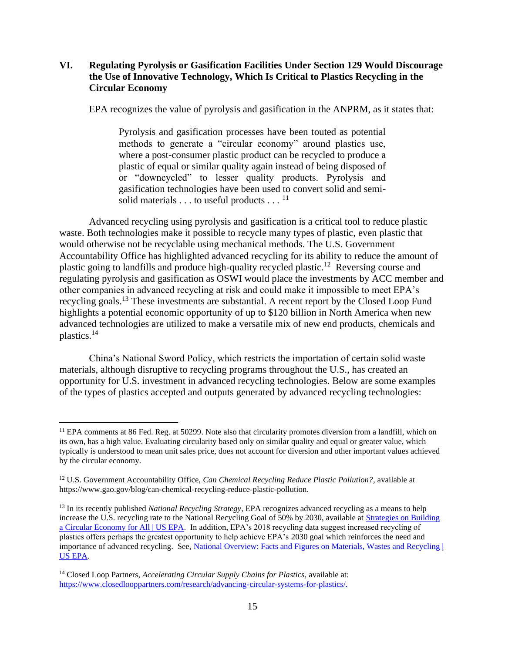### **VI. Regulating Pyrolysis or Gasification Facilities Under Section 129 Would Discourage the Use of Innovative Technology, Which Is Critical to Plastics Recycling in the Circular Economy**

EPA recognizes the value of pyrolysis and gasification in the ANPRM, as it states that:

Pyrolysis and gasification processes have been touted as potential methods to generate a "circular economy" around plastics use, where a post-consumer plastic product can be recycled to produce a plastic of equal or similar quality again instead of being disposed of or "downcycled" to lesser quality products. Pyrolysis and gasification technologies have been used to convert solid and semisolid materials . . . to useful products . . . <sup>11</sup>

Advanced recycling using pyrolysis and gasification is a critical tool to reduce plastic waste. Both technologies make it possible to recycle many types of plastic, even plastic that would otherwise not be recyclable using mechanical methods. The U.S. Government Accountability Office has highlighted advanced recycling for its ability to reduce the amount of plastic going to landfills and produce high-quality recycled plastic.<sup>12</sup> Reversing course and regulating pyrolysis and gasification as OSWI would place the investments by ACC member and other companies in advanced recycling at risk and could make it impossible to meet EPA's recycling goals.<sup>13</sup> These investments are substantial. A recent report by the Closed Loop Fund highlights a potential economic opportunity of up to \$120 billion in North America when new advanced technologies are utilized to make a versatile mix of new end products, chemicals and plastics.<sup>14</sup>

China's National Sword Policy, which restricts the importation of certain solid waste materials, although disruptive to recycling programs throughout the U.S., has created an opportunity for U.S. investment in advanced recycling technologies. Below are some examples of the types of plastics accepted and outputs generated by advanced recycling technologies:

<sup>&</sup>lt;sup>11</sup> EPA comments at 86 Fed. Reg. at 50299. Note also that circularity promotes diversion from a landfill, which on its own, has a high value. Evaluating circularity based only on similar quality and equal or greater value, which typically is understood to mean unit sales price, does not account for diversion and other important values achieved by the circular economy.

<sup>&</sup>lt;sup>12</sup> U.S. Government Accountability Office, *Can Chemical Recycling Reduce Plastic Pollution?*, available at https://www.gao.gov/blog/can-chemical-recycling-reduce-plastic-pollution.

<sup>13</sup> In its recently published *National Recycling Strategy*, EPA recognizes advanced recycling as a means to help increase the U.S. recycling rate to the National Recycling Goal of 50% by 2030, available at [Strategies on Building](https://www.epa.gov/recyclingstrategy/strategies-building-circular-economy-all#strategy)  [a Circular Economy for All | US EPA.](https://www.epa.gov/recyclingstrategy/strategies-building-circular-economy-all#strategy) In addition, EPA's 2018 recycling data suggest increased recycling of plastics offers perhaps the greatest opportunity to help achieve EPA's 2030 goal which reinforces the need and importance of advanced recycling. See[, National Overview: Facts and Figures on Materials, Wastes and Recycling |](https://www.epa.gov/facts-and-figures-about-materials-waste-and-recycling/national-overview-facts-and-figures-materials)  [US EPA.](https://www.epa.gov/facts-and-figures-about-materials-waste-and-recycling/national-overview-facts-and-figures-materials)

<sup>14</sup> Closed Loop Partners, *Accelerating Circular Supply Chains for Plastics*, available at: [https://www.closedlooppartners.com/research/advancing-circular-systems-for-plastics/.](https://www.closedlooppartners.com/research/advancing-circular-systems-for-plastics/)